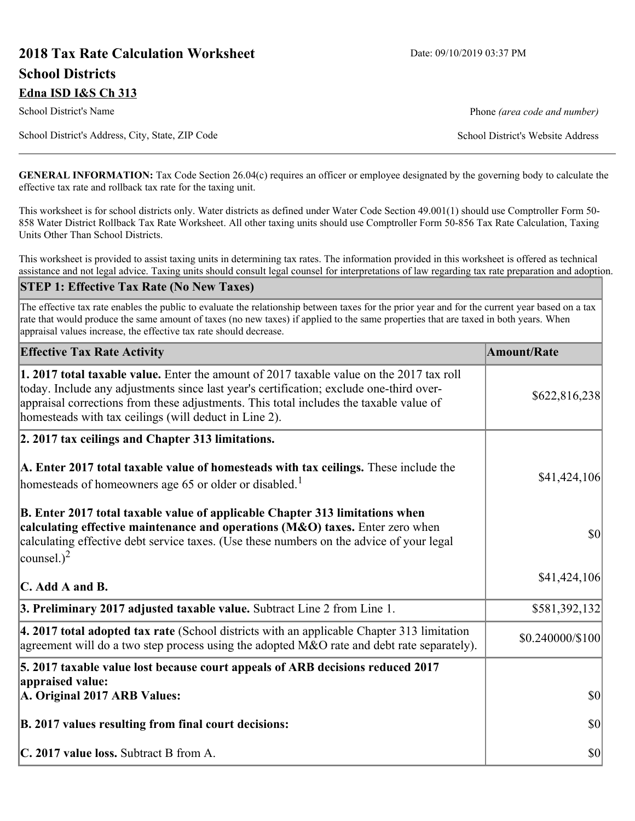# **2018 Tax Rate Calculation Worksheet** Date: 09/10/2019 03:37 PM **School Districts Edna ISD I&S Ch 313**

School District's Name **Phone** *(area code and number)* Phone *(area code and number)* 

School District's Address, City, State, ZIP Code School District's Website Address

**GENERAL INFORMATION:** Tax Code Section 26.04(c) requires an officer or employee designated by the governing body to calculate the effective tax rate and rollback tax rate for the taxing unit.

This worksheet is for school districts only. Water districts as defined under Water Code Section 49.001(1) should use Comptroller Form 50- 858 Water District Rollback Tax Rate Worksheet. All other taxing units should use Comptroller Form 50-856 Tax Rate Calculation, Taxing Units Other Than School Districts.

This worksheet is provided to assist taxing units in determining tax rates. The information provided in this worksheet is offered as technical assistance and not legal advice. Taxing units should consult legal counsel for interpretations of law regarding tax rate preparation and adoption.

#### **STEP 1: Effective Tax Rate (No New Taxes)**

The effective tax rate enables the public to evaluate the relationship between taxes for the prior year and for the current year based on a tax rate that would produce the same amount of taxes (no new taxes) if applied to the same properties that are taxed in both years. When appraisal values increase, the effective tax rate should decrease.

| <b>Effective Tax Rate Activity</b>                                                                                                                                                                                                                                                                                                     | <b>Amount/Rate</b> |
|----------------------------------------------------------------------------------------------------------------------------------------------------------------------------------------------------------------------------------------------------------------------------------------------------------------------------------------|--------------------|
| 1. 2017 total taxable value. Enter the amount of 2017 taxable value on the 2017 tax roll<br>today. Include any adjustments since last year's certification; exclude one-third over-<br>appraisal corrections from these adjustments. This total includes the taxable value of<br>homesteads with tax ceilings (will deduct in Line 2). | \$622,816,238      |
| 2. 2017 tax ceilings and Chapter 313 limitations.                                                                                                                                                                                                                                                                                      |                    |
| A. Enter 2017 total taxable value of homesteads with tax ceilings. These include the<br>homesteads of homeowners age 65 or older or disabled. <sup>1</sup>                                                                                                                                                                             | \$41,424,106       |
| B. Enter 2017 total taxable value of applicable Chapter 313 limitations when<br>calculating effective maintenance and operations (M&O) taxes. Enter zero when<br>calculating effective debt service taxes. (Use these numbers on the advice of your legal<br>$\sim$ counsel.) <sup>2</sup>                                             | $ 10\rangle$       |
| $\mathbb C$ . Add A and B.                                                                                                                                                                                                                                                                                                             | \$41,424,106       |
| 3. Preliminary 2017 adjusted taxable value. Subtract Line 2 from Line 1.                                                                                                                                                                                                                                                               | \$581,392,132      |
| $\vert$ 4. 2017 total adopted tax rate (School districts with an applicable Chapter 313 limitation<br>agreement will do a two step process using the adopted M&O rate and debt rate separately).                                                                                                                                       | \$0.240000/\$100   |
| 5. 2017 taxable value lost because court appeals of ARB decisions reduced 2017                                                                                                                                                                                                                                                         |                    |
| appraised value:<br>A. Original 2017 ARB Values:                                                                                                                                                                                                                                                                                       | $ 10\rangle$       |
| B. 2017 values resulting from final court decisions:                                                                                                                                                                                                                                                                                   | $ 10\rangle$       |
| C. 2017 value loss. Subtract B from A.                                                                                                                                                                                                                                                                                                 | $ 10\rangle$       |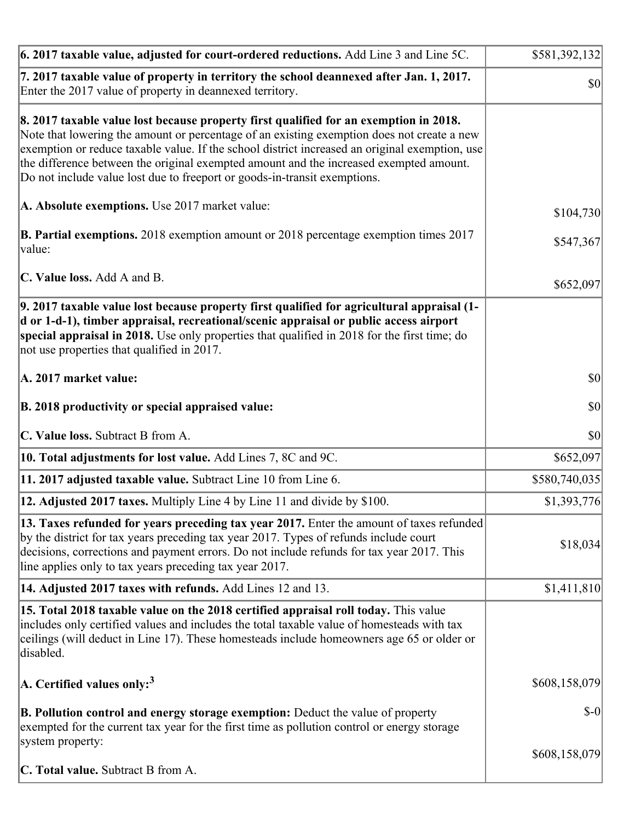| 6. 2017 taxable value, adjusted for court-ordered reductions. Add Line 3 and Line 5C.                                                                                                                                                                                                                                                                                                                                                                        | \$581,392,132 |
|--------------------------------------------------------------------------------------------------------------------------------------------------------------------------------------------------------------------------------------------------------------------------------------------------------------------------------------------------------------------------------------------------------------------------------------------------------------|---------------|
| 7. 2017 taxable value of property in territory the school deannexed after Jan. 1, 2017.<br>Enter the 2017 value of property in deannexed territory.                                                                                                                                                                                                                                                                                                          | <b>\$0</b>    |
| 8. 2017 taxable value lost because property first qualified for an exemption in 2018.<br>Note that lowering the amount or percentage of an existing exemption does not create a new<br>exemption or reduce taxable value. If the school district increased an original exemption, use<br>the difference between the original exempted amount and the increased exempted amount.<br>Do not include value lost due to freeport or goods-in-transit exemptions. |               |
| A. Absolute exemptions. Use 2017 market value:                                                                                                                                                                                                                                                                                                                                                                                                               | \$104,730     |
| <b>B. Partial exemptions.</b> 2018 exemption amount or 2018 percentage exemption times 2017<br>$\vert$ value:                                                                                                                                                                                                                                                                                                                                                | \$547,367     |
| C. Value loss. Add A and B.                                                                                                                                                                                                                                                                                                                                                                                                                                  | \$652,097     |
| 9. 2017 taxable value lost because property first qualified for agricultural appraisal (1-<br>d or 1-d-1), timber appraisal, recreational/scenic appraisal or public access airport<br>special appraisal in 2018. Use only properties that qualified in 2018 for the first time; do<br>not use properties that qualified in 2017.                                                                                                                            |               |
| A. 2017 market value:                                                                                                                                                                                                                                                                                                                                                                                                                                        | $ 10\rangle$  |
| B. 2018 productivity or special appraised value:                                                                                                                                                                                                                                                                                                                                                                                                             | \$0           |
| C. Value loss. Subtract B from A.                                                                                                                                                                                                                                                                                                                                                                                                                            | $ 10\rangle$  |
| 10. Total adjustments for lost value. Add Lines 7, 8C and 9C.                                                                                                                                                                                                                                                                                                                                                                                                | \$652,097     |
| 11. 2017 adjusted taxable value. Subtract Line 10 from Line 6.                                                                                                                                                                                                                                                                                                                                                                                               | \$580,740,035 |
| <b>12. Adjusted 2017 taxes.</b> Multiply Line 4 by Line 11 and divide by \$100.                                                                                                                                                                                                                                                                                                                                                                              | \$1,393,776   |
| [13. Taxes refunded for years preceding tax year 2017. Enter the amount of taxes refunded]<br>by the district for tax years preceding tax year 2017. Types of refunds include court<br>decisions, corrections and payment errors. Do not include refunds for tax year 2017. This<br>line applies only to tax years preceding tax year 2017.                                                                                                                  | \$18,034      |
| 14. Adjusted 2017 taxes with refunds. Add Lines 12 and 13.                                                                                                                                                                                                                                                                                                                                                                                                   | \$1,411,810   |
| 15. Total 2018 taxable value on the 2018 certified appraisal roll today. This value<br>includes only certified values and includes the total taxable value of homesteads with tax<br>ceilings (will deduct in Line 17). These homesteads include homeowners age 65 or older or<br>disabled.                                                                                                                                                                  |               |
| A. Certified values only: <sup>3</sup>                                                                                                                                                                                                                                                                                                                                                                                                                       | \$608,158,079 |
| <b>B. Pollution control and energy storage exemption:</b> Deduct the value of property<br>exempted for the current tax year for the first time as pollution control or energy storage<br>system property:                                                                                                                                                                                                                                                    | $S-0$         |
| <b>C. Total value.</b> Subtract B from A.                                                                                                                                                                                                                                                                                                                                                                                                                    | \$608,158,079 |
|                                                                                                                                                                                                                                                                                                                                                                                                                                                              |               |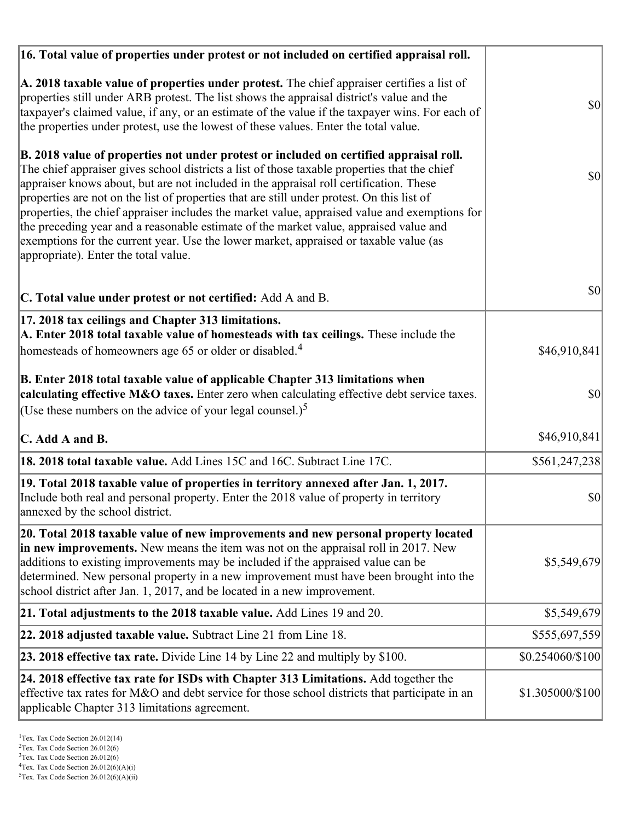| 16. Total value of properties under protest or not included on certified appraisal roll.                                                                                                                                                                                                                                                                                                                                                                                                                                                                                                                                                                                                                  |                  |
|-----------------------------------------------------------------------------------------------------------------------------------------------------------------------------------------------------------------------------------------------------------------------------------------------------------------------------------------------------------------------------------------------------------------------------------------------------------------------------------------------------------------------------------------------------------------------------------------------------------------------------------------------------------------------------------------------------------|------------------|
| A. 2018 taxable value of properties under protest. The chief appraiser certifies a list of<br>properties still under ARB protest. The list shows the appraisal district's value and the<br>taxpayer's claimed value, if any, or an estimate of the value if the taxpayer wins. For each of<br>the properties under protest, use the lowest of these values. Enter the total value.                                                                                                                                                                                                                                                                                                                        | <b>\$0</b>       |
| B. 2018 value of properties not under protest or included on certified appraisal roll.<br>The chief appraiser gives school districts a list of those taxable properties that the chief<br>appraiser knows about, but are not included in the appraisal roll certification. These<br>properties are not on the list of properties that are still under protest. On this list of<br>properties, the chief appraiser includes the market value, appraised value and exemptions for<br>the preceding year and a reasonable estimate of the market value, appraised value and<br>exemptions for the current year. Use the lower market, appraised or taxable value (as<br>appropriate). Enter the total value. | $ 10\rangle$     |
| C. Total value under protest or not certified: Add A and B.                                                                                                                                                                                                                                                                                                                                                                                                                                                                                                                                                                                                                                               | $ 10\rangle$     |
| 17. 2018 tax ceilings and Chapter 313 limitations.<br>A. Enter 2018 total taxable value of homesteads with tax ceilings. These include the<br>homesteads of homeowners age 65 or older or disabled. <sup>4</sup>                                                                                                                                                                                                                                                                                                                                                                                                                                                                                          | \$46,910,841     |
| B. Enter 2018 total taxable value of applicable Chapter 313 limitations when<br>calculating effective M&O taxes. Enter zero when calculating effective debt service taxes.<br>(Use these numbers on the advice of your legal counsel.) <sup>5</sup>                                                                                                                                                                                                                                                                                                                                                                                                                                                       | \$0              |
| C. Add A and B.                                                                                                                                                                                                                                                                                                                                                                                                                                                                                                                                                                                                                                                                                           | \$46,910,841     |
| 18. 2018 total taxable value. Add Lines 15C and 16C. Subtract Line 17C.                                                                                                                                                                                                                                                                                                                                                                                                                                                                                                                                                                                                                                   | \$561,247,238    |
| 19. Total 2018 taxable value of properties in territory annexed after Jan. 1, 2017.<br>Include both real and personal property. Enter the 2018 value of property in territory<br>annexed by the school district.                                                                                                                                                                                                                                                                                                                                                                                                                                                                                          | \$0              |
| 20. Total 2018 taxable value of new improvements and new personal property located<br>in new improvements. New means the item was not on the appraisal roll in 2017. New<br>additions to existing improvements may be included if the appraised value can be<br>determined. New personal property in a new improvement must have been brought into the<br>school district after Jan. 1, 2017, and be located in a new improvement.                                                                                                                                                                                                                                                                        | \$5,549,679      |
| 21. Total adjustments to the 2018 taxable value. Add Lines 19 and 20.                                                                                                                                                                                                                                                                                                                                                                                                                                                                                                                                                                                                                                     | \$5,549,679      |
| 22. 2018 adjusted taxable value. Subtract Line 21 from Line 18.                                                                                                                                                                                                                                                                                                                                                                                                                                                                                                                                                                                                                                           | \$555,697,559    |
| <b>23. 2018 effective tax rate.</b> Divide Line 14 by Line 22 and multiply by \$100.                                                                                                                                                                                                                                                                                                                                                                                                                                                                                                                                                                                                                      | \$0.254060/\$100 |
| 24. 2018 effective tax rate for ISDs with Chapter 313 Limitations. Add together the<br>effective tax rates for M&O and debt service for those school districts that participate in an<br>applicable Chapter 313 limitations agreement.                                                                                                                                                                                                                                                                                                                                                                                                                                                                    | \$1.305000/\$100 |

 $2$ Tex. Tax Code Section 26.012(6)

<sup>&</sup>lt;sup>3</sup>Tex. Tax Code Section 26.012(6)

 ${}^{4}$ Tex. Tax Code Section 26.012(6)(A)(i)

 $5$ Tex. Tax Code Section 26.012(6)(A)(ii)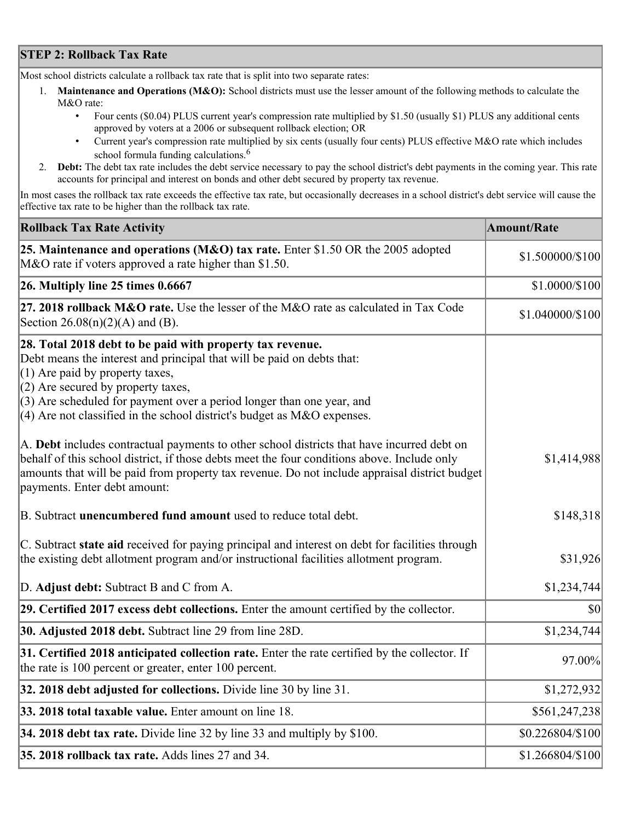## **STEP 2: Rollback Tax Rate**

Most school districts calculate a rollback tax rate that is split into two separate rates:

- 1. **Maintenance and Operations (M&O):** School districts must use the lesser amount of the following methods to calculate the M&O rate:
	- Four cents (\$0.04) PLUS current year's compression rate multiplied by \$1.50 (usually \$1) PLUS any additional cents approved by voters at a 2006 or subsequent rollback election; OR
	- Current year's compression rate multiplied by six cents (usually four cents) PLUS effective M&O rate which includes school formula funding calculations.<sup>6</sup>
- 2. **Debt:** The debt tax rate includes the debt service necessary to pay the school district's debt payments in the coming year. This rate accounts for principal and interest on bonds and other debt secured by property tax revenue.

In most cases the rollback tax rate exceeds the effective tax rate, but occasionally decreases in a school district's debt service will cause the effective tax rate to be higher than the rollback tax rate.

| <b>Rollback Tax Rate Activity</b>                                                                                                                                                                                                                                                                                                                                        | <b>Amount/Rate</b> |
|--------------------------------------------------------------------------------------------------------------------------------------------------------------------------------------------------------------------------------------------------------------------------------------------------------------------------------------------------------------------------|--------------------|
| 25. Maintenance and operations (M&O) tax rate. Enter \$1.50 OR the 2005 adopted<br>M&O rate if voters approved a rate higher than \$1.50.                                                                                                                                                                                                                                | \$1.500000/\$100   |
| $26.$ Multiply line 25 times $0.6667$                                                                                                                                                                                                                                                                                                                                    | \$1.0000/\$100     |
| 27. 2018 rollback $M&O$ rate. Use the lesser of the M $&O$ rate as calculated in Tax Code<br>Section $26.08(n)(2)(A)$ and (B).                                                                                                                                                                                                                                           | \$1.040000/\$100   |
| 28. Total 2018 debt to be paid with property tax revenue.<br>Debt means the interest and principal that will be paid on debts that:<br>$(1)$ Are paid by property taxes,<br>$(2)$ Are secured by property taxes,<br>$(3)$ Are scheduled for payment over a period longer than one year, and<br>$(4)$ Are not classified in the school district's budget as M&O expenses. |                    |
| A. Debt includes contractual payments to other school districts that have incurred debt on<br>behalf of this school district, if those debts meet the four conditions above. Include only<br>amounts that will be paid from property tax revenue. Do not include appraisal district budget<br>payments. Enter debt amount:                                               | \$1,414,988        |
| B. Subtract unencumbered fund amount used to reduce total debt.                                                                                                                                                                                                                                                                                                          | \$148,318          |
| C. Subtract state aid received for paying principal and interest on debt for facilities through<br>the existing debt allotment program and/or instructional facilities allotment program.                                                                                                                                                                                | \$31,926           |
| D. Adjust debt: Subtract B and C from A.                                                                                                                                                                                                                                                                                                                                 | \$1,234,744        |
| 29. Certified 2017 excess debt collections. Enter the amount certified by the collector.                                                                                                                                                                                                                                                                                 | $ 10\rangle$       |
| 30. Adjusted 2018 debt. Subtract line 29 from line 28D.                                                                                                                                                                                                                                                                                                                  | \$1,234,744        |
| 31. Certified 2018 anticipated collection rate. Enter the rate certified by the collector. If<br>the rate is 100 percent or greater, enter 100 percent.                                                                                                                                                                                                                  | 97.00%             |
| 32. 2018 debt adjusted for collections. Divide line 30 by line 31.                                                                                                                                                                                                                                                                                                       | \$1,272,932        |
| 33. 2018 total taxable value. Enter amount on line 18.                                                                                                                                                                                                                                                                                                                   | \$561,247,238      |
| 34. 2018 debt tax rate. Divide line 32 by line 33 and multiply by \$100.                                                                                                                                                                                                                                                                                                 | \$0.226804/\$100   |
| 35. 2018 rollback tax rate. Adds lines 27 and 34.                                                                                                                                                                                                                                                                                                                        | \$1.266804/\$100   |